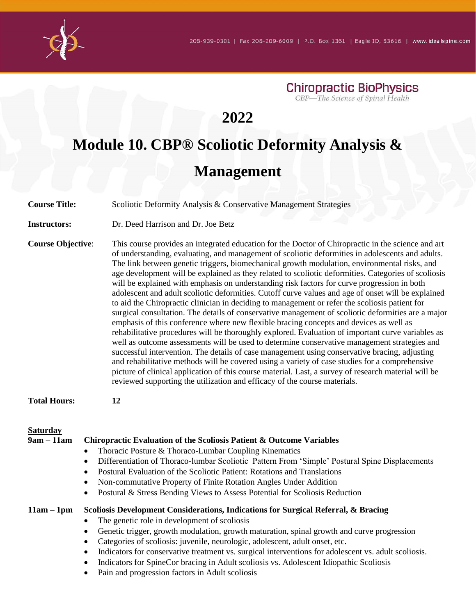**Chiropractic BioPhysics** CBP-The Science of Spinal Health

## **2022**

# **Module 10. CBP® Scoliotic Deformity Analysis & Management**

**Course Title:** Scoliotic Deformity Analysis & Conservative Management Strategies **Instructors:** Dr. Deed Harrison and Dr. Joe Betz **Course Objective**: This course provides an integrated education for the Doctor of Chiropractic in the science and art of understanding, evaluating, and management of scoliotic deformities in adolescents and adults. The link between genetic triggers, biomechanical growth modulation, environmental risks, and age development will be explained as they related to scoliotic deformities. Categories of scoliosis will be explained with emphasis on understanding risk factors for curve progression in both adolescent and adult scoliotic deformities. Cutoff curve values and age of onset will be explained to aid the Chiropractic clinician in deciding to management or refer the scoliosis patient for surgical consultation. The details of conservative management of scoliotic deformities are a major emphasis of this conference where new flexible bracing concepts and devices as well as rehabilitative procedures will be thoroughly explored. Evaluation of important curve variables as well as outcome assessments will be used to determine conservative management strategies and successful intervention. The details of case management using conservative bracing, adjusting and rehabilitative methods will be covered using a variety of case studies for a comprehensive picture of clinical application of this course material. Last, a survey of research material will be reviewed supporting the utilization and efficacy of the course materials. **Total Hours: 12 Saturday** 

| $9am - 11am$ | Chiropractic Evaluation of the Scoliosis Patient & Outcome Variables                                              |
|--------------|-------------------------------------------------------------------------------------------------------------------|
|              | Thoracic Posture & Thoraco-Lumbar Coupling Kinematics<br>$\bullet$                                                |
|              | Differentiation of Thoraco-lumbar Scoliotic Pattern From 'Simple' Postural Spine Displacements<br>$\bullet$       |
|              | Postural Evaluation of the Scoliotic Patient: Rotations and Translations<br>٠                                     |
|              | Non-commutative Property of Finite Rotation Angles Under Addition<br>٠                                            |
|              | Postural & Stress Bending Views to Assess Potential for Scoliosis Reduction<br>$\bullet$                          |
| $11am - 1pm$ | Scoliosis Development Considerations, Indications for Surgical Referral, & Bracing                                |
|              | The genetic role in development of scoliosis                                                                      |
|              | Genetic trigger, growth modulation, growth maturation, spinal growth and curve progression<br>$\bullet$           |
|              | Categories of scoliosis: juvenile, neurologic, adolescent, adult onset, etc.<br>$\bullet$                         |
|              | Indicators for conservative treatment vs. surgical interventions for adolescent vs. adult scoliosis.<br>$\bullet$ |
|              | Indicators for SpineCor bracing in Adult scoliosis vs. Adolescent Idiopathic Scoliosis<br>٠                       |
|              | Pain and progression factors in Adult scoliosis<br>٠                                                              |